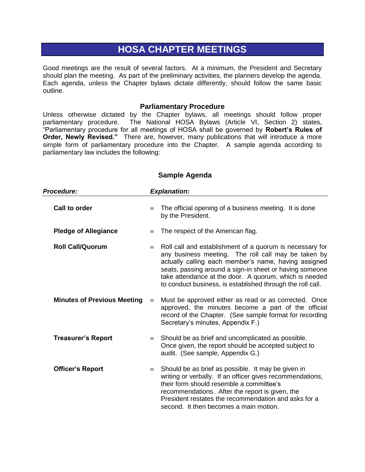# **HOSA CHAPTER MEETINGS**

Good meetings are the result of several factors. At a minimum, the President and Secretary should plan the meeting. As part of the preliminary activities, the planners develop the agenda. Each agenda, unless the Chapter bylaws dictate differently, should follow the same basic outline.

#### **Parliamentary Procedure**

Unless otherwise dictated by the Chapter bylaws, all meetings should follow proper parliamentary procedure. The National HOSA Bylaws (Article VI, Section 2) states, "Parliamentary procedure for all meetings of HOSA shall be governed by **Robert's Rules of Order, Newly Revised."** There are, however, many publications that will introduce a more simple form of parliamentary procedure into the Chapter. A sample agenda according to parliamentary law includes the following:

| Procedure:                         |          | <b>Explanation:</b>                                                                                                                                                                                                                                                                                                                                        |
|------------------------------------|----------|------------------------------------------------------------------------------------------------------------------------------------------------------------------------------------------------------------------------------------------------------------------------------------------------------------------------------------------------------------|
| <b>Call to order</b>               | $\equiv$ | The official opening of a business meeting. It is done<br>by the President.                                                                                                                                                                                                                                                                                |
| <b>Pledge of Allegiance</b>        | $\equiv$ | The respect of the American flag.                                                                                                                                                                                                                                                                                                                          |
| <b>Roll Call/Quorum</b>            | $\equiv$ | Roll call and establishment of a quorum is necessary for<br>any business meeting. The roll call may be taken by<br>actually calling each member's name, having assigned<br>seats, passing around a sign-in sheet or having someone<br>take attendance at the door. A quorum, which is needed<br>to conduct business, is established through the roll call. |
| <b>Minutes of Previous Meeting</b> | $\equiv$ | Must be approved either as read or as corrected. Once<br>approved, the minutes become a part of the official<br>record of the Chapter. (See sample format for recording<br>Secretary's minutes, Appendix F.)                                                                                                                                               |
| <b>Treasurer's Report</b>          | $\equiv$ | Should be as brief and uncomplicated as possible.<br>Once given, the report should be accepted subject to<br>audit. (See sample, Appendix G.)                                                                                                                                                                                                              |
| <b>Officer's Report</b>            | $\equiv$ | Should be as brief as possible. It may be given in<br>writing or verbally. If an officer gives recommendations,<br>their form should resemble a committee's<br>recommendations. After the report is given, the<br>President restates the recommendation and asks for a<br>second. It then becomes a main motion.                                           |

#### **Sample Agenda**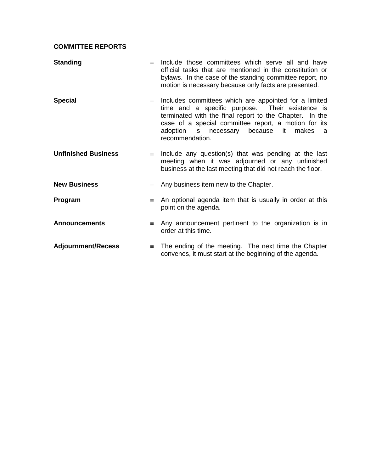## **COMMITTEE REPORTS**

| <b>Standing</b>            | $\equiv$ | Include those committees which serve all and have<br>official tasks that are mentioned in the constitution or<br>bylaws. In the case of the standing committee report, no<br>motion is necessary because only facts are presented.                                                                  |
|----------------------------|----------|-----------------------------------------------------------------------------------------------------------------------------------------------------------------------------------------------------------------------------------------------------------------------------------------------------|
| <b>Special</b>             | $\equiv$ | Includes committees which are appointed for a limited<br>time and a specific purpose. Their existence is<br>terminated with the final report to the Chapter. In the<br>case of a special committee report, a motion for its<br>adoption is necessary<br>because it<br>makes<br>a<br>recommendation. |
| <b>Unfinished Business</b> |          | $\equiv$ Include any question(s) that was pending at the last<br>meeting when it was adjourned or any unfinished<br>business at the last meeting that did not reach the floor.                                                                                                                      |
| <b>New Business</b>        | $\equiv$ | Any business item new to the Chapter.                                                                                                                                                                                                                                                               |
| Program                    | $\equiv$ | An optional agenda item that is usually in order at this<br>point on the agenda.                                                                                                                                                                                                                    |
| <b>Announcements</b>       | $\equiv$ | Any announcement pertinent to the organization is in<br>order at this time.                                                                                                                                                                                                                         |
| <b>Adjournment/Recess</b>  | $\equiv$ | The ending of the meeting. The next time the Chapter<br>convenes, it must start at the beginning of the agenda.                                                                                                                                                                                     |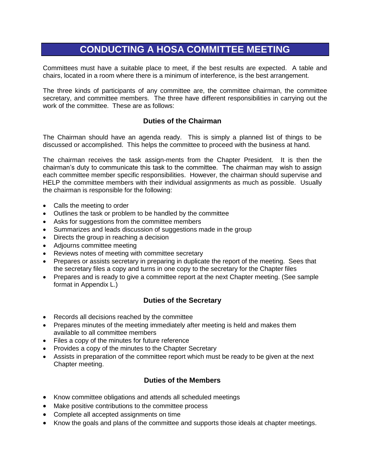# **CONDUCTING A HOSA COMMITTEE MEETING**

Committees must have a suitable place to meet, if the best results are expected. A table and chairs, located in a room where there is a minimum of interference, is the best arrangement.

The three kinds of participants of any committee are, the committee chairman, the committee secretary, and committee members. The three have different responsibilities in carrying out the work of the committee. These are as follows:

#### **Duties of the Chairman**

The Chairman should have an agenda ready. This is simply a planned list of things to be discussed or accomplished. This helps the committee to proceed with the business at hand.

The chairman receives the task assign-ments from the Chapter President. It is then the chairman's duty to communicate this task to the committee. The chairman may wish to assign each committee member specific responsibilities. However, the chairman should supervise and HELP the committee members with their individual assignments as much as possible. Usually the chairman is responsible for the following:

- Calls the meeting to order
- Outlines the task or problem to be handled by the committee
- Asks for suggestions from the committee members
- Summarizes and leads discussion of suggestions made in the group
- Directs the group in reaching a decision
- Adjourns committee meeting
- Reviews notes of meeting with committee secretary
- Prepares or assists secretary in preparing in duplicate the report of the meeting. Sees that the secretary files a copy and turns in one copy to the secretary for the Chapter files
- Prepares and is ready to give a committee report at the next Chapter meeting. (See sample format in Appendix L.)

#### **Duties of the Secretary**

- Records all decisions reached by the committee
- Prepares minutes of the meeting immediately after meeting is held and makes them available to all committee members
- Files a copy of the minutes for future reference
- Provides a copy of the minutes to the Chapter Secretary
- Assists in preparation of the committee report which must be ready to be given at the next Chapter meeting.

### **Duties of the Members**

- Know committee obligations and attends all scheduled meetings
- Make positive contributions to the committee process
- Complete all accepted assignments on time
- Know the goals and plans of the committee and supports those ideals at chapter meetings.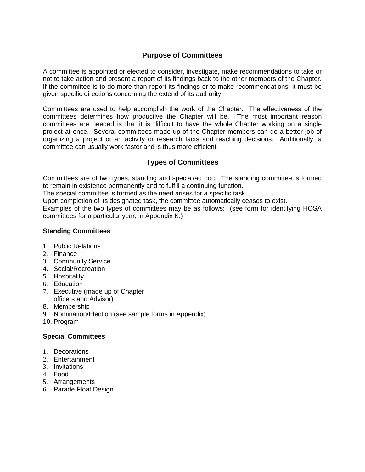## **Purpose of Committees**

A committee is appointed or elected to consider, investigate, make recommendations to take or not to take action and present a report of its findings back to the other members of the Chapter. If the committee is to do more than report its findings or to make recommendations, it must be given specific directions concerning the extend of its authority.

Committees are used to help accomplish the work of the Chapter. The effectiveness of the committees determines how productive the Chapter will be. The most important reason committees are needed is that it is difficult to have the whole Chapter working on a single project at once. Several committees made up of the Chapter members can do a better job of organizing a project or an activity or research facts and reaching decisions. Additionally, a committee can usually work faster and is thus more efficient.

## **Types of Committees**

Committees are of two types, standing and special/ad hoc. The standing committee is formed to remain in existence permanently and to fulfill a continuing function.

The special committee is formed as the need arises for a specific task.

Upon completion of its designated task, the committee automatically ceases to exist.

Examples of the two types of committees may be as follows: (see form for identifying HOSA committees for a particular year, in Appendix K.)

#### **Standing Committees**

- 1. Public Relations
- 2. Finance
- 3. Community Service
- 4. Social/Recreation
- 5. Hospitality
- 6. Education
- 7. Executive (made up of Chapter officers and Advisor)
- 8. Membership
- 9. Nomination/Election (see sample forms in Appendix)
- 10. Program

#### **Special Committees**

- 1. Decorations
- 2. Entertainment
- 3. Invitations
- 4. Food
- 5. Arrangements
- 6. Parade Float Design